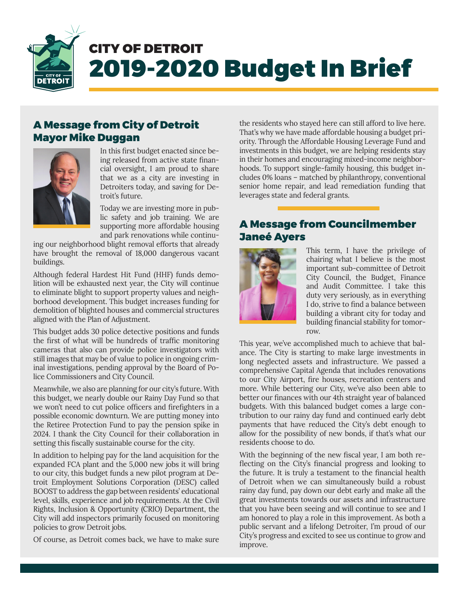

# CITY OF DETROIT 2019-2020 Budget In Brief

### A Message from City of Detroit Mayor Mike Duggan



In this first budget enacted since being released from active state financial oversight, I am proud to share that we as a city are investing in Detroiters today, and saving for Detroit's future.

Today we are investing more in public safety and job training. We are supporting more affordable housing and park renovations while continu-

ing our neighborhood blight removal efforts that already have brought the removal of 18,000 dangerous vacant buildings.

Although federal Hardest Hit Fund (HHF) funds demolition will be exhausted next year, the City will continue to eliminate blight to support property values and neighborhood development. This budget increases funding for demolition of blighted houses and commercial structures aligned with the Plan of Adjustment.

This budget adds 30 police detective positions and funds the first of what will be hundreds of traffic monitoring cameras that also can provide police investigators with still images that may be of value to police in ongoing criminal investigations, pending approval by the Board of Police Commissioners and City Council.

Meanwhile, we also are planning for our city's future. With this budget, we nearly double our Rainy Day Fund so that we won't need to cut police officers and firefighters in a possible economic downturn. We are putting money into the Retiree Protection Fund to pay the pension spike in 2024. I thank the City Council for their collaboration in setting this fiscally sustainable course for the city.

In addition to helping pay for the land acquisition for the expanded FCA plant and the 5,000 new jobs it will bring to our city, this budget funds a new pilot program at Detroit Employment Solutions Corporation (DESC) called BOOST to address the gap between residents' educational level, skills, experience and job requirements. At the Civil Rights, Inclusion & Opportunity (CRIO) Department, the City will add inspectors primarily focused on monitoring policies to grow Detroit jobs.

Of course, as Detroit comes back, we have to make sure

the residents who stayed here can still afford to live here. That's why we have made affordable housing a budget priority. Through the Affordable Housing Leverage Fund and investments in this budget, we are helping residents stay in their homes and encouraging mixed-income neighborhoods. To support single-family housing, this budget includes 0% loans – matched by philanthropy, conventional senior home repair, and lead remediation funding that leverages state and federal grants.

### A Message from Councilmember Janeé Ayers



This term, I have the privilege of chairing what I believe is the most important sub-committee of Detroit City Council, the Budget, Finance and Audit Committee. I take this duty very seriously, as in everything I do, strive to find a balance between building a vibrant city for today and building financial stability for tomorrow.

This year, we've accomplished much to achieve that balance. The City is starting to make large investments in long neglected assets and infrastructure. We passed a comprehensive Capital Agenda that includes renovations to our City Airport, fire houses, recreation centers and more. While bettering our City, we've also been able to better our finances with our 4th straight year of balanced budgets. With this balanced budget comes a large contribution to our rainy day fund and continued early debt payments that have reduced the City's debt enough to allow for the possibility of new bonds, if that's what our residents choose to do.

With the beginning of the new fiscal year, I am both reflecting on the City's financial progress and looking to the future. It is truly a testament to the financial health of Detroit when we can simultaneously build a robust rainy day fund, pay down our debt early and make all the great investments towards our assets and infrastructure that you have been seeing and will continue to see and I am honored to play a role in this improvement. As both a public servant and a lifelong Detroiter, I'm proud of our City's progress and excited to see us continue to grow and improve.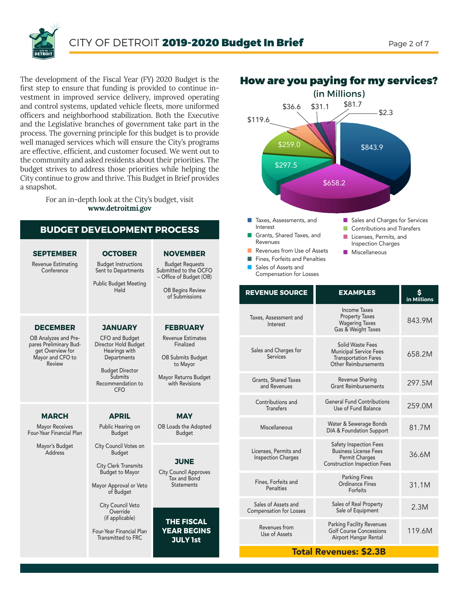

The development of the Fiscal Year (FY) 2020 Budget is the first step to ensure that funding is provided to continue investment in improved service delivery, improved operating and control systems, updated vehicle fleets, more uniformed officers and neighborhood stabilization. Both the Executive and the Legislative branches of government take part in the process. The governing principle for this budget is to provide well managed services which will ensure the City's programs are effective, efficient, and customer focused. We went out to the community and asked residents about their priorities. The budget strives to address those priorities while helping the City continue to grow and thrive. This Budget in Brief provides a snapshot.

> For an in-depth look at the City's budget, visit **www.detroitmi.gov**

| <b>BUDGET DEVELOPMENT PROCESS</b>                                                                                   |                                                                                                                                                                  |                                                                                                                                            |
|---------------------------------------------------------------------------------------------------------------------|------------------------------------------------------------------------------------------------------------------------------------------------------------------|--------------------------------------------------------------------------------------------------------------------------------------------|
| <b>SEPTEMBER</b><br>Revenue Estimating<br>Conference                                                                | <b>OCTOBER</b><br><b>Budget Instructions</b><br>Sent to Departments<br><b>Public Budget Meeting</b><br>Held                                                      | <b>NOVEMBER</b><br><b>Budget Requests</b><br>Submitted to the OCFO<br>- Office of Budget (OB)<br><b>OB Begins Review</b><br>of Submissions |
| <b>DECEMBER</b><br>OB Analyzes and Pre-<br>pares Preliminary Bud-<br>get Overview for<br>Mayor and CFO to<br>Review | <b>JANUARY</b><br>CFO and Budget<br>Director Hold Budget<br>Hearings with<br>Departments<br><b>Budget Director</b><br>Submits<br>Recommendation to<br><b>CFO</b> | <b>FEBRUARY</b><br><b>Revenue Estimates</b><br>Finalized<br><b>OB Submits Budget</b><br>to Mayor<br>Mayor Returns Budget<br>with Revisions |
| <b>MARCH</b><br><b>Mayor Receives</b><br>Four-Year Financial Plan                                                   | <b>APRIL</b><br>Public Hearing on<br><b>Budget</b>                                                                                                               | <b>MAY</b><br>OB Loads the Adopted<br><b>Budget</b>                                                                                        |
| Mayor's Budget<br>Address                                                                                           | City Council Votes on<br><b>Budget</b><br><b>City Clerk Transmits</b><br><b>Budget to Mayor</b><br>Mayor Approval or Veto<br>of Budget<br>City Council Veto      | JUNE<br><b>City Council Approves</b><br>Tax and Bond<br><b>Statements</b>                                                                  |
|                                                                                                                     | Override<br>(if applicable)<br>Four-Year Financial Plan<br><b>Transmitted to FRC</b>                                                                             | <b>THE FISCAL</b><br><b>YEAR BEGINS</b><br><b>JULY 1st</b>                                                                                 |



**n** Fines, Forfeits and Penalties **n** Sales of Assets and Compensation for Losses

How are you paying for my services?

#### $\blacksquare$  Miscellaneous

| <b>REVENUE SOURCE</b>                                 | <b>EXAMPLES</b>                                                                                                        | in Millions |
|-------------------------------------------------------|------------------------------------------------------------------------------------------------------------------------|-------------|
| Taxes, Assessment and<br>Interest                     | <b>Income Taxes</b><br><b>Property Taxes</b><br><b>Wagering Taxes</b><br>Gas & Weight Taxes                            | 843.9M      |
| Sales and Charges for<br>Services                     | Solid Waste Fees<br><b>Municipal Service Fees</b><br><b>Transportation Fares</b><br>Other Reimbursements               | 658.2M      |
| Grants, Shared Taxes<br>and Revenues                  | Revenue Sharing<br><b>Grant Reimbursements</b>                                                                         | 297.5M      |
| Contributions and<br><b>Transfers</b>                 | <b>General Fund Contributions</b><br>Use of Fund Balance                                                               | 259.0M      |
| Miscellaneous                                         | Water & Sewerage Bonds<br>DIA & Foundation Support                                                                     | 81.7M       |
| Licenses, Permits and<br><b>Inspection Charges</b>    | <b>Safety Inspection Fees</b><br><b>Business License Fees</b><br>Permit Charges<br><b>Construction Inspection Fees</b> | 36.6M       |
| Fines, Forfeits and<br>Penalties                      | <b>Parking Fines</b><br>Ordinance Fines<br>Forfeits                                                                    | 31.1M       |
| Sales of Assets and<br><b>Compensation for Losses</b> | Sales of Real Property<br>Sale of Equipment                                                                            | 2.3M        |
| Revenues from<br>Use of Assets                        | <b>Parking Facility Revenues</b><br><b>Golf Course Concessions</b><br>Airport Hangar Rental                            | 119.6M      |

### Total Revenues: \$2.3B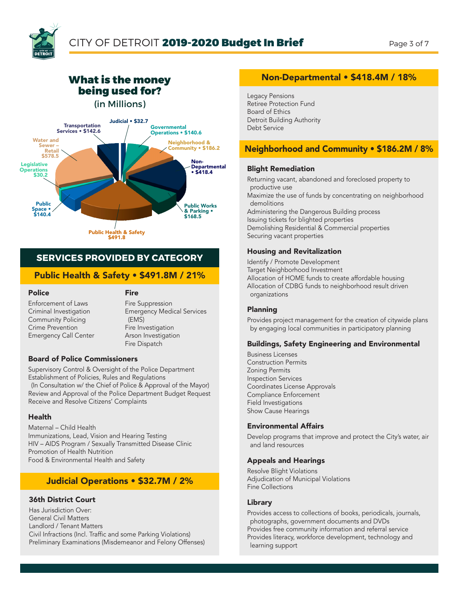

### What is the money being used for?





### **SERVICES PROVIDED BY CATEGORY**

### Public Health & Safety • \$491.8M / 21%

#### Police

**Fire** 

Enforcement of Laws Criminal Investigation Community Policing Crime Prevention Emergency Call Center

Fire Suppression Emergency Medical Services (EMS) Fire Investigation Arson Investigation Fire Dispatch

#### Board of Police Commissioners

Supervisory Control & Oversight of the Police Department Establishment of Policies, Rules and Regulations

(In Consultation w/ the Chief of Police & Approval of the Mayor) Review and Approval of the Police Department Budget Request Receive and Resolve Citizens' Complaints

#### Health

Maternal – Child Health Immunizations, Lead, Vision and Hearing Testing HIV – AIDS Program / Sexually Transmitted Disease Clinic Promotion of Health Nutrition Food & Environmental Health and Safety

### Judicial Operations • \$32.7M / 2%

### 36th District Court

Has Jurisdiction Over: General Civil Matters Landlord / Tenant Matters Civil Infractions (Incl. Traffic and some Parking Violations) Preliminary Examinations (Misdemeanor and Felony Offenses)

### Non-Departmental • \$418.4M / 18%

Legacy Pensions Retiree Protection Fund Board of Ethics Detroit Building Authority Debt Service

### Neighborhood and Community • \$186.2M / 8%

#### Blight Remediation

Returning vacant, abandoned and foreclosed property to productive use Maximize the use of funds by concentrating on neighborhood demolitions Administering the Dangerous Building process Issuing tickets for blighted properties Demolishing Residential & Commercial properties Securing vacant properties

#### Housing and Revitalization

Identify / Promote Development Target Neighborhood Investment Allocation of HOME funds to create affordable housing Allocation of CDBG funds to neighborhood result driven organizations

#### Planning

Provides project management for the creation of citywide plans by engaging local communities in participatory planning

#### Buildings, Safety Engineering and Environmental

Business Licenses Construction Permits Zoning Permits Inspection Services Coordinates License Approvals Compliance Enforcement Field Investigations Show Cause Hearings

#### Environmental Affairs

Develop programs that improve and protect the City's water, air and land resources

#### Appeals and Hearings

Resolve Blight Violations Adjudication of Municipal Violations Fine Collections

#### Library

Provides access to collections of books, periodicals, journals, photographs, government documents and DVDs Provides free community information and referral service Provides literacy, workforce development, technology and learning support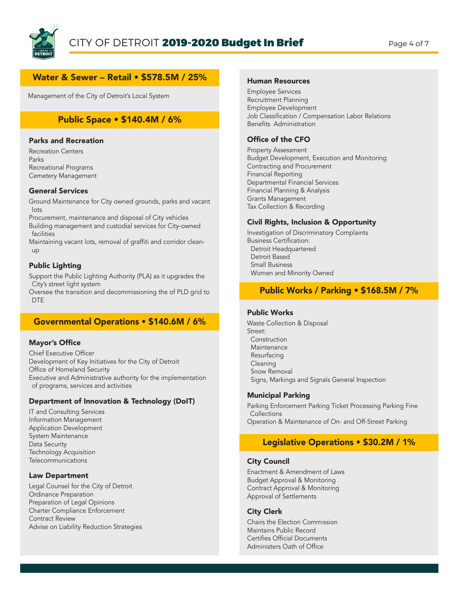

### Water & Sewer – Retail • \$578.5M / 25%

Management of the City of Detroit's Local System

### Public Space • \$140.4M / 6%

#### Parks and Recreation

Recreation Centers Parks Recreational Programs Cemetery Management

#### General Services

Ground Maintenance for City owned grounds, parks and vacant lots

Procurement, maintenance and disposal of City vehicles Building management and custodial services for City-owned facilities

Maintaining vacant lots, removal of graffiti and corridor cleanup

#### Public Lighting

Support the Public Lighting Authority (PLA) as it upgrades the City's street light system

Oversee the transition and decommissioning the of PLD grid to DTE

### Governmental Operations • \$140.6M / 6%

#### Mayor's Office

Chief Executive Officer Development of Key Initiatives for the City of Detroit Office of Homeland Security Executive and Administrative authority for the implementation of programs, services and activities

#### Department of Innovation & Technology (DoIT)

IT and Consulting Services Information Management Application Development System Maintenance Data Security Technology Acquisition Telecommunications

#### Law Department

Legal Counsel for the City of Detroit Ordinance Preparation Preparation of Legal Opinions Charter Compliance Enforcement Contract Review Advise on Liability Reduction Strategies

#### Human Resources

Employee Services Recruitment Planning Employee Development Job Classification / Compensation Labor Relations Benefits Administration

#### Office of the CFO

Property Assessment Budget Development, Execution and Monitoring Contracting and Procurement Financial Reporting Departmental Financial Services Financial Planning & Analysis Grants Management Tax Collection & Recording

#### Civil Rights, Inclusion & Opportunity

Investigation of Discriminatory Complaints Business Certification: Detroit Headquartered Detroit Based Small Business Women and Minority Owned

#### Public Works / Parking • \$168.5M / 7%

#### Public Works

Waste Collection & Disposal Street: Construction **Maintenance**  Resurfacing Cleaning Snow Removal Signs, Markings and Signals General Inspection

#### Municipal Parking

Parking Enforcement Parking Ticket Processing Parking Fine **Collections** Operation & Maintenance of On- and Off-Street Parking

### Legislative Operations • \$30.2M / 1%

#### City Council

Enactment & Amendment of Laws Budget Approval & Monitoring Contract Approval & Monitoring Approval of Settlements

#### City Clerk

Chairs the Election Commission Maintains Public Record Certifies Official Documents Administers Oath of Office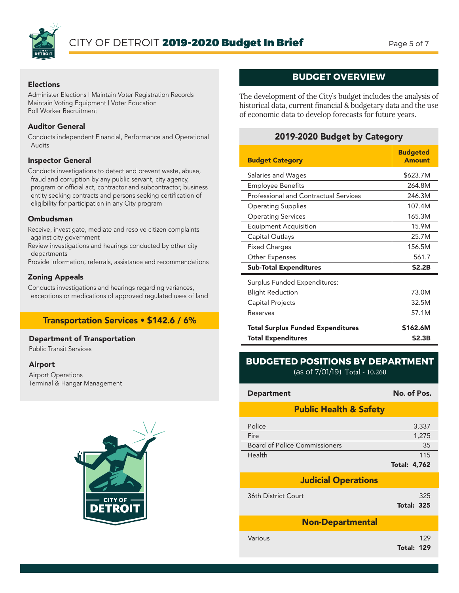

#### Elections

Administer Elections | Maintain Voter Registration Records Maintain Voting Equipment | Voter Education Poll Worker Recruitment

#### Auditor General

Conducts independent Financial, Performance and Operational Audits

#### Inspector General

Conducts investigations to detect and prevent waste, abuse, fraud and corruption by any public servant, city agency, program or official act, contractor and subcontractor, business entity seeking contracts and persons seeking certification of eligibility for participation in any City program

#### Ombudsman

Receive, investigate, mediate and resolve citizen complaints against city government

Review investigations and hearings conducted by other city departments

Provide information, referrals, assistance and recommendations

#### Zoning Appeals

Conducts investigations and hearings regarding variances, exceptions or medications of approved regulated uses of land

### Transportation Services • \$142.6 / 6%

#### Department of Transportation

Public Transit Services

#### Airport

Airport Operations Terminal & Hangar Management



### **BUDGET OVERVIEW**

The development of the City's budget includes the analysis of historical data, current financial & budgetary data and the use of economic data to develop forecasts for future years.

### 2019-2020 Budget by Category

| <b>Budget Category</b>                       | <b>Budgeted</b><br><b>Amount</b> |
|----------------------------------------------|----------------------------------|
| Salaries and Wages                           | \$623.7M                         |
| <b>Employee Benefits</b>                     | 264.8M                           |
| <b>Professional and Contractual Services</b> | 246.3M                           |
| <b>Operating Supplies</b>                    | 107.4M                           |
| <b>Operating Services</b>                    | 165.3M                           |
| Equipment Acquisition                        | 15.9M                            |
| Capital Outlays                              | 25.7M                            |
| <b>Fixed Charges</b>                         | 156.5M                           |
| Other Expenses                               | 561.7                            |
| <b>Sub-Total Expenditures</b>                | \$2.2B                           |
| Surplus Funded Expenditures:                 |                                  |
| <b>Blight Reduction</b>                      | 73.0M                            |
| Capital Projects                             | 32.5M                            |
| Reserves                                     | 57.1M                            |
| <b>Total Surplus Funded Expenditures</b>     | \$162.6M                         |
| <b>Total Expenditures</b>                    | \$2.3B                           |

### **BUDGETED POSITIONS BY DEPARTMENT** (as of 7/01/19) Total - 10,260

| <b>Department</b>                    | No. of Pos.                |  |  |
|--------------------------------------|----------------------------|--|--|
| <b>Public Health &amp; Safety</b>    |                            |  |  |
| Police<br>Fire                       | 3,337<br>1,275             |  |  |
| <b>Board of Police Commissioners</b> | 35                         |  |  |
| Health                               | 115<br><b>Total: 4,762</b> |  |  |
| <b>Judicial Operations</b>           |                            |  |  |
| 36th District Court                  | 325<br><b>Total: 325</b>   |  |  |
| <b>Non-Departmental</b>              |                            |  |  |
| Various                              | 129<br><b>Total: 129</b>   |  |  |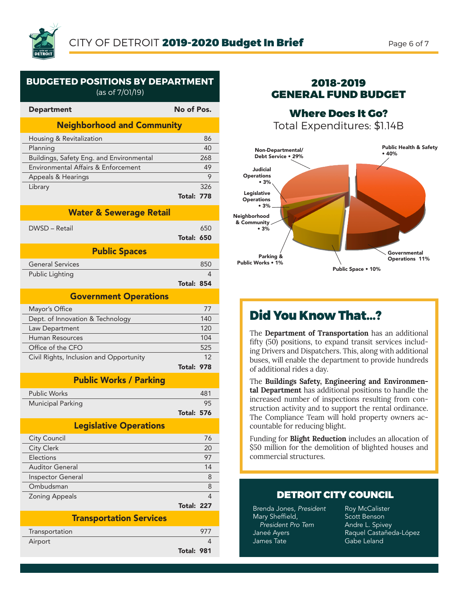

### **BUDGETED POSITIONS BY DEPARTMENT**

(as of 7/01/19)

| <b>Department</b>                        | No of Pos.        |     |  |
|------------------------------------------|-------------------|-----|--|
| <b>Neighborhood and Community</b>        |                   |     |  |
| Housing & Revitalization                 |                   | 86  |  |
| Planning                                 |                   | 40  |  |
| Buildings, Safety Eng. and Environmental |                   | 268 |  |
| Environmental Affairs & Enforcement      |                   | 49  |  |
| Appeals & Hearings                       |                   | 9   |  |
| Library                                  |                   | 326 |  |
|                                          | <b>Total: 778</b> |     |  |
| <b>Water &amp; Sewerage Retail</b>       |                   |     |  |
| DWSD - Retail                            |                   | 650 |  |
|                                          | <b>Total: 650</b> |     |  |
|                                          |                   |     |  |
| <b>Public Spaces</b>                     |                   |     |  |
| <b>General Services</b>                  |                   | 850 |  |
| Public Lighting                          |                   | 4   |  |
|                                          | <b>Total: 854</b> |     |  |
| <b>Government Operations</b>             |                   |     |  |
| Mayor's Office                           |                   | 77  |  |
| Dept. of Innovation & Technology         |                   | 140 |  |
| Law Department                           |                   | 120 |  |
| <b>Human Resources</b>                   |                   | 104 |  |
| Office of the CFO                        |                   | 525 |  |
| Civil Rights, Inclusion and Opportunity  |                   | 12  |  |
|                                          | <b>Total: 978</b> |     |  |
| <b>Public Works / Parking</b>            |                   |     |  |
| <b>Public Works</b>                      |                   | 481 |  |
| Municipal Parking                        |                   | 95  |  |
|                                          | <b>Total: 576</b> |     |  |
| <b>Legislative Operations</b>            |                   |     |  |
| City Council                             |                   | 76  |  |
| <b>City Clerk</b>                        |                   | 20  |  |
| Elections                                |                   | 97  |  |
| <b>Auditor General</b>                   |                   | 14  |  |
| Inspector General                        |                   | 8   |  |
| Ombudsman                                |                   | 8   |  |
| Zoning Appeals                           |                   | 4   |  |
|                                          | Total: 227        |     |  |
| <b>Transportation Services</b>           |                   |     |  |
| Transportation                           |                   | 977 |  |

Airport 4

Total: 981

### 2018-2019 GENERAL FUND BUDGET

Where Does It Go? Total Expenditures: \$1.14B



## Did You Know That...?

The **Department of Transportation** has an additional fifty (50) positions, to expand transit services including Drivers and Dispatchers. This, along with additional buses, will enable the department to provide hundreds of additional rides a day.

The **Buildings Safety, Engineering and Environmental Department** has additional positions to handle the increased number of inspections resulting from construction activity and to support the rental ordinance. The Compliance Team will hold property owners accountable for reducing blight.

Funding for **Blight Reduction** includes an allocation of \$50 million for the demolition of blighted houses and commercial structures.

### DETROIT CITY COUNCIL

Brenda Jones, *President* Mary Sheffield, *President Pro Tem* Janeé Ayers James Tate

Roy McCalister Scott Benson Andre L. Spivey Raquel Castañeda-López Gabe Leland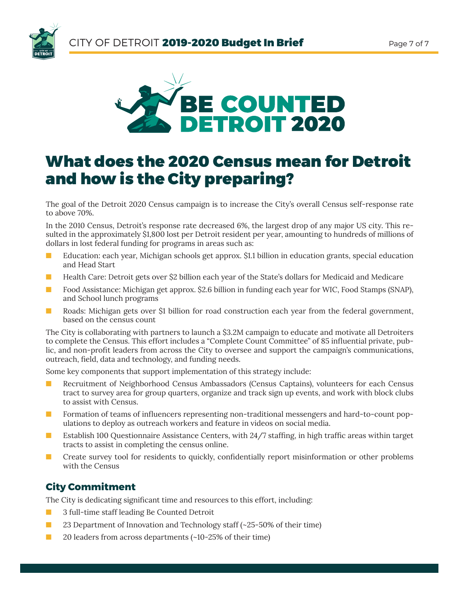



# What does the 2020 Census mean for Detroit and how is the City preparing?

The goal of the Detroit 2020 Census campaign is to increase the City's overall Census self-response rate to above 70%.

In the 2010 Census, Detroit's response rate decreased 6%, the largest drop of any major US city. This resulted in the approximately \$1,800 lost per Detroit resident per year, amounting to hundreds of millions of dollars in lost federal funding for programs in areas such as:

- **n** Education: each year, Michigan schools get approx. \$1.1 billion in education grants, special education and Head Start
- **n** Health Care: Detroit gets over \$2 billion each year of the State's dollars for Medicaid and Medicare
- **n** Food Assistance: Michigan get approx. \$2.6 billion in funding each year for WIC, Food Stamps (SNAP), and School lunch programs
- n Roads: Michigan gets over \$1 billion for road construction each year from the federal government, based on the census count

The City is collaborating with partners to launch a \$3.2M campaign to educate and motivate all Detroiters to complete the Census. This effort includes a "Complete Count Committee" of 85 influential private, public, and non-profit leaders from across the City to oversee and support the campaign's communications, outreach, field, data and technology, and funding needs.

Some key components that support implementation of this strategy include:

- **n** Recruitment of Neighborhood Census Ambassadors (Census Captains), volunteers for each Census tract to survey area for group quarters, organize and track sign up events, and work with block clubs to assist with Census.
- **n** Formation of teams of influencers representing non-traditional messengers and hard-to-count populations to deploy as outreach workers and feature in videos on social media.
- Establish 100 Questionnaire Assistance Centers, with 24/7 staffing, in high traffic areas within target tracts to assist in completing the census online.
- **n** Create survey tool for residents to quickly, confidentially report misinformation or other problems with the Census

### **City Commitment**

The City is dedicating significant time and resources to this effort, including:

- **n** 3 full-time staff leading Be Counted Detroit
- 23 Department of Innovation and Technology staff (~25-50% of their time)
- $\Box$  20 leaders from across departments (~10-25% of their time)